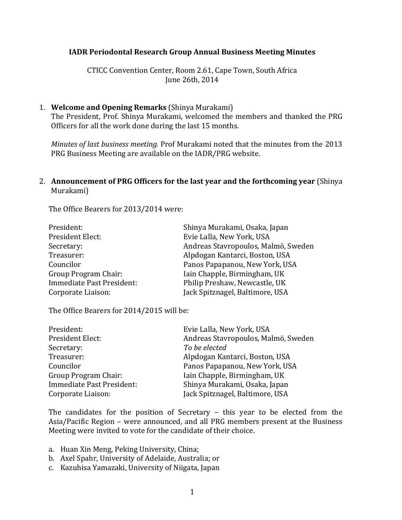## **IADR Periodontal Research Group Annual Business Meeting Minutes**

CTICC Convention Center, Room 2.61, Cape Town, South Africa June 26th, 2014

#### 1. **Welcome and Opening Remarks** (Shinya Murakami)

The President, Prof. Shinya Murakami, welcomed the members and thanked the PRG Officers for all the work done during the last 15 months.

*Minutes of last business meeting.* Prof Murakami noted that the minutes from the 2013 PRG Business Meeting are available on the IADR/PRG website.

### 2. **Announcement of PRG Officers for the last year and the forthcoming year** (Shinya Murakami)

The Office Bearers for 2013/2014 were:

| Shinya Murakami, Osaka, Japan       |
|-------------------------------------|
| Evie Lalla, New York, USA           |
| Andreas Stavropoulos, Malmö, Sweden |
| Alpdogan Kantarci, Boston, USA      |
| Panos Papapanou, New York, USA      |
| Iain Chapple, Birmingham, UK        |
| Philip Preshaw, Newcastle, UK       |
| Jack Spitznagel, Baltimore, USA     |
|                                     |

The Office Bearers for 2014/2015 will be:

| President:                | Evie Lalla, New York, USA           |
|---------------------------|-------------------------------------|
| President Elect:          | Andreas Stavropoulos, Malmö, Sweden |
| Secretary:                | To be elected                       |
| Treasurer:                | Alpdogan Kantarci, Boston, USA      |
| Councilor                 | Panos Papapanou, New York, USA      |
| Group Program Chair:      | Iain Chapple, Birmingham, UK        |
| Immediate Past President: | Shinya Murakami, Osaka, Japan       |
| Corporate Liaison:        | Jack Spitznagel, Baltimore, USA     |

The candidates for the position of Secretary  $-$  this year to be elected from the Asia/Pacific Region – were announced, and all PRG members present at the Business Meeting were invited to vote for the candidate of their choice.

a. Huan Xin Meng, Peking University, China;

- b. Axel Spahr, University of Adelaide, Australia; or
- c. Kazuhisa Yamazaki, University of Niigata, Japan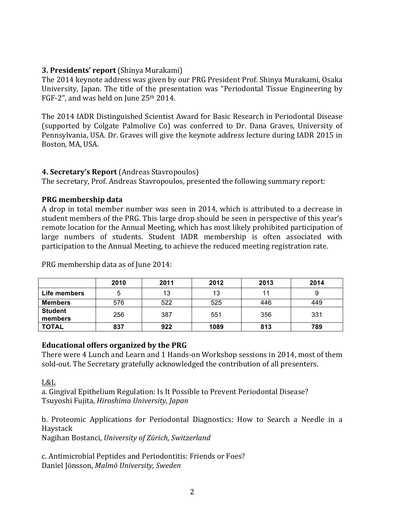## **3. Presidents' report** (Shinya Murakami)

The 2014 keynote address was given by our PRG President Prof. Shinya Murakami, Osaka University, Japan. The title of the presentation was "Periodontal Tissue Engineering by FGF-2", and was held on June  $25<sup>th</sup> 2014$ .

The 2014 IADR Distinguished Scientist Award for Basic Research in Periodontal Disease (supported by Colgate Palmolive Co) was conferred to Dr. Dana Graves, University of Pennsylvania, USA. Dr. Graves will give the keynote address lecture during IADR 2015 in Boston, MA, USA.

## **4. Secretary's Report** (Andreas Stavropoulos)

The secretary, Prof. Andreas Stavropoulos, presented the following summary report:

## **PRG membership data**

A drop in total member number was seen in 2014, which is attributed to a decrease in student members of the PRG. This large drop should be seen in perspective of this year's remote location for the Annual Meeting, which has most likely prohibited participation of large numbers of students. Student IADR membership is often associated with participation to the Annual Meeting, to achieve the reduced meeting registration rate.

|                           | 2010 | 2011 | 2012 | 2013 | 2014 |
|---------------------------|------|------|------|------|------|
| Life members              | 5    | 13   | 13   |      |      |
| <b>Members</b>            | 576  | 522  | 525  | 446  | 449  |
| <b>Student</b><br>members | 256  | 387  | 551  | 356  | 331  |
| <b>TOTAL</b>              | 837  | 922  | 1089 | 813  | 789  |

PRG membership data as of June 2014:

## **Educational offers organized by the PRG**

There were 4 Lunch and Learn and 1 Hands-on Workshop sessions in 2014, most of them sold-out. The Secretary gratefully acknowledged the contribution of all presenters.

L&L

a. Gingival Epithelium Regulation: Is It Possible to Prevent Periodontal Disease? Tsuyoshi Fujita, *Hiroshima University, Japan*

b. Proteomic Applications for Periodontal Diagnostics: How to Search a Needle in a Haystack

Nagihan Bostanci, *University of Zürich, Switzerland*

c. Antimicrobial Peptides and Periodontitis: Friends or Foes? Daniel Jönsson, *Malmö University, Sweden*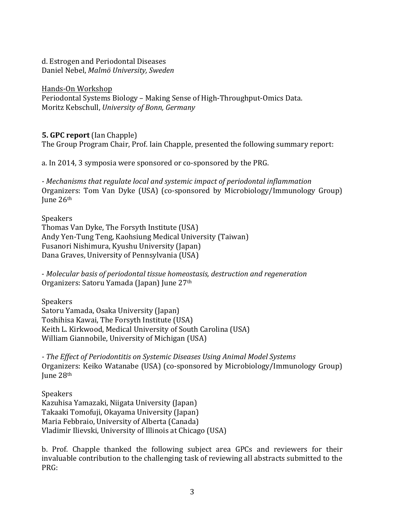d. Estrogen and Periodontal Diseases Daniel Nebel, *Malmö University, Sweden*

#### Hands-On Workshop

Periodontal Systems Biology - Making Sense of High-Throughput-Omics Data. Moritz Kebschull, *University of Bonn, Germany* 

## **5. GPC report** (Ian Chapple)

The Group Program Chair, Prof. Iain Chapple, presented the following summary report:

a. In 2014, 3 symposia were sponsored or co-sponsored by the PRG.

- Mechanisms that regulate local and systemic impact of periodontal inflammation Organizers: Tom Van Dyke (USA) (co-sponsored by Microbiology/Immunology Group) June 26th

**Speakers** Thomas Van Dyke, The Forsyth Institute (USA) Andy Yen-Tung Teng, Kaohsiung Medical University (Taiwan) Fusanori Nishimura, Kyushu University (Japan) Dana Graves, University of Pennsylvania (USA)

- Molecular basis of periodontal tissue homeostasis, destruction and regeneration Organizers: Satoru Yamada (Japan) June 27<sup>th</sup>

Speakers Satoru Yamada, Osaka University (Japan) Toshihisa Kawai, The Forsyth Institute (USA) Keith L. Kirkwood, Medical University of South Carolina (USA) William Giannobile, University of Michigan (USA)

- The Effect of Periodontitis on Systemic Diseases Using Animal Model Systems Organizers: Keiko Watanabe (USA) (co-sponsored by Microbiology/Immunology Group) June 28<sup>th</sup>

Speakers Kazuhisa Yamazaki, Niigata University (Japan) Takaaki Tomofuji, Okayama University (Japan) Maria Febbraio, University of Alberta (Canada) Vladimir Ilievski, University of Illinois at Chicago (USA)

b. Prof. Chapple thanked the following subject area GPCs and reviewers for their invaluable contribution to the challenging task of reviewing all abstracts submitted to the PRG: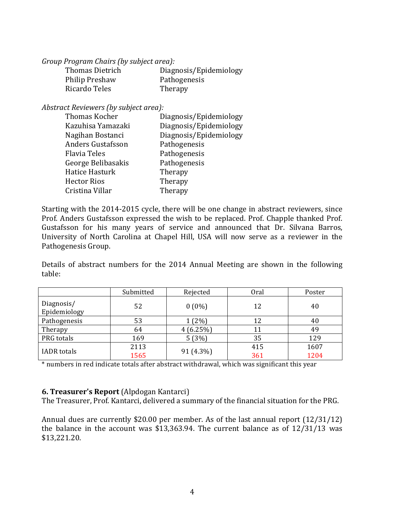| Thomas Dietrich | Diagnosis/Epidemiology |
|-----------------|------------------------|
| Philip Preshaw  | Pathogenesis           |
| Ricardo Teles   | Therapy                |

Abstract Reviewers (by subject area):

| Thomas Kocher            | Diagnosis/Epidemiology |
|--------------------------|------------------------|
| Kazuhisa Yamazaki        | Diagnosis/Epidemiology |
| Nagihan Bostanci         | Diagnosis/Epidemiology |
| <b>Anders Gustafsson</b> | Pathogenesis           |
| <b>Flavia Teles</b>      | Pathogenesis           |
| George Belibasakis       | Pathogenesis           |
| Hatice Hasturk           | Therapy                |
| <b>Hector Rios</b>       | Therapy                |
| Cristina Villar          | Therapy                |

Starting with the 2014-2015 cycle, there will be one change in abstract reviewers, since Prof. Anders Gustafsson expressed the wish to be replaced. Prof. Chapple thanked Prof. Gustafsson for his many years of service and announced that Dr. Silvana Barros, University of North Carolina at Chapel Hill, USA will now serve as a reviewer in the Pathogenesis Group.

Details of abstract numbers for the 2014 Annual Meeting are shown in the following table:

|                            | Submitted | Rejected  | 0ral | Poster |
|----------------------------|-----------|-----------|------|--------|
| Diagnosis/<br>Epidemiology | 52        | $0(0\%)$  | 12   | 40     |
| Pathogenesis               | 53        | $1(2\%)$  | 12   | 40     |
| Therapy                    | 64        | 4(6.25%)  |      | 49     |
| PRG totals                 | 169       | 5(3%)     | 35   | 129    |
|                            | 2113      |           | 415  | 1607   |
| <b>IADR</b> totals         | 1565      | 91 (4.3%) | 361  | 1204   |

\* numbers in red indicate totals after abstract withdrawal, which was significant this year

## **6. Treasurer's Report** (Alpdogan Kantarci)

The Treasurer, Prof. Kantarci, delivered a summary of the financial situation for the PRG.

Annual dues are currently  $$20.00$  per member. As of the last annual report  $(12/31/12)$ the balance in the account was \$13,363.94. The current balance as of  $12/31/13$  was \$13,221.20.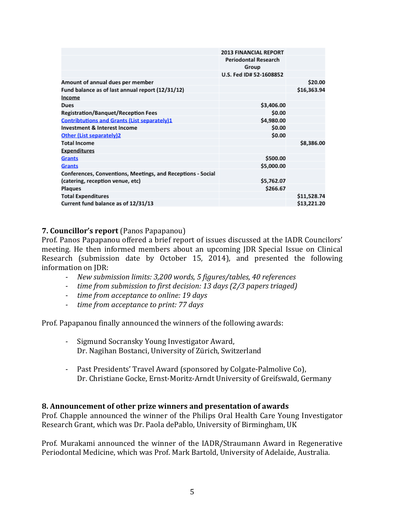|                                                             | <b>2013 FINANCIAL REPORT</b><br><b>Periodontal Research</b> |             |
|-------------------------------------------------------------|-------------------------------------------------------------|-------------|
|                                                             | Group                                                       |             |
|                                                             | U.S. Fed ID# 52-1608852                                     |             |
| Amount of annual dues per member                            |                                                             | \$20.00     |
| Fund balance as of last annual report (12/31/12)            |                                                             | \$16,363.94 |
| Income                                                      |                                                             |             |
| Dues                                                        | \$3,406.00                                                  |             |
| <b>Registration/Banquet/Reception Fees</b>                  | \$0.00                                                      |             |
| <b>Contribtutions and Grants (List separately)1</b>         | \$4,980.00                                                  |             |
| Investment & Interest Income                                | \$0.00                                                      |             |
| Other (List separately)2                                    | \$0.00                                                      |             |
| <b>Total Income</b>                                         |                                                             | \$8,386.00  |
| <b>Expenditures</b>                                         |                                                             |             |
| <b>Grants</b>                                               | \$500.00                                                    |             |
| <b>Grants</b>                                               | \$5,000.00                                                  |             |
| Conferences, Conventions, Meetings, and Receptions - Social |                                                             |             |
| (catering, reception venue, etc)                            | \$5,762.07                                                  |             |
| <b>Plagues</b>                                              | \$266.67                                                    |             |
| <b>Total Expenditures</b>                                   |                                                             | \$11,528.74 |
| Current fund balance as of 12/31/13                         |                                                             | \$13,221.20 |

## **7. Councillor's report** (Panos Papapanou)

Prof. Panos Papapanou offered a brief report of issues discussed at the IADR Councilors' meeting. He then informed members about an upcoming JDR Special Issue on Clinical Research (submission date by October 15, 2014), and presented the following information on JDR:

- *- New submission limits: 3,200 words, 5 figures/tables, 40 references*
- *- time from submission to first decision:* 13 *days* (2/3 *papers triaged)*
- *Fime from acceptance to online: 19 days*
- *- time from acceptance to print: 77 days*

Prof. Papapanou finally announced the winners of the following awards:

- *-* Sigmund Socransky Young Investigator Award, Dr. Nagihan Bostanci, University of Zürich, Switzerland
- *-* Past Presidents' Travel Award (sponsored by Colgate-Palmolive Co), Dr. Christiane Gocke, Ernst-Moritz-Arndt University of Greifswald, Germany

#### **8. Announcement of other prize winners and presentation of awards**

Prof. Chapple announced the winner of the Philips Oral Health Care Young Investigator Research Grant, which was Dr. Paola dePablo, University of Birmingham, UK

Prof. Murakami announced the winner of the IADR/Straumann Award in Regenerative Periodontal Medicine, which was Prof. Mark Bartold, University of Adelaide, Australia.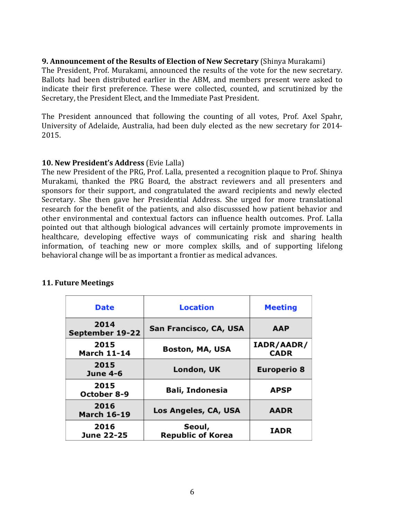#### **9. Announcement of the Results of Election of New Secretary (Shinya Murakami)**

The President, Prof. Murakami, announced the results of the vote for the new secretary. Ballots had been distributed earlier in the ABM, and members present were asked to indicate their first preference. These were collected, counted, and scrutinized by the Secretary, the President Elect, and the Immediate Past President.

The President announced that following the counting of all votes, Prof. Axel Spahr, University of Adelaide, Australia, had been duly elected as the new secretary for 2014-2015.

#### **10. New President's Address** (Evie Lalla)

The new President of the PRG, Prof. Lalla, presented a recognition plaque to Prof. Shinya Murakami, thanked the PRG Board, the abstract reviewers and all presenters and sponsors for their support, and congratulated the award recipients and newly elected Secretary. She then gave her Presidential Address. She urged for more translational research for the benefit of the patients, and also discusssed how patient behavior and other environmental and contextual factors can influence health outcomes. Prof. Lalla pointed out that although biological advances will certainly promote improvements in healthcare, developing effective ways of communicating risk and sharing health information, of teaching new or more complex skills, and of supporting lifelong behavioral change will be as important a frontier as medical advances.

| Date                       | <b>Location</b>                    | <b>Meeting</b>            |
|----------------------------|------------------------------------|---------------------------|
| 2014<br>September 19-22    | San Francisco, CA, USA             | <b>AAP</b>                |
| 2015<br><b>March 11-14</b> | Boston, MA, USA                    | IADR/AADR/<br><b>CADR</b> |
| 2015<br><b>June 4-6</b>    | London, UK                         | <b>Europerio 8</b>        |
| 2015<br>October 8-9        | Bali, Indonesia                    | <b>APSP</b>               |
| 2016<br><b>March 16-19</b> | Los Angeles, CA, USA               | <b>AADR</b>               |
| 2016<br>June 22-25         | Seoul,<br><b>Republic of Korea</b> | <b>IADR</b>               |

## **11. Future Meetings**